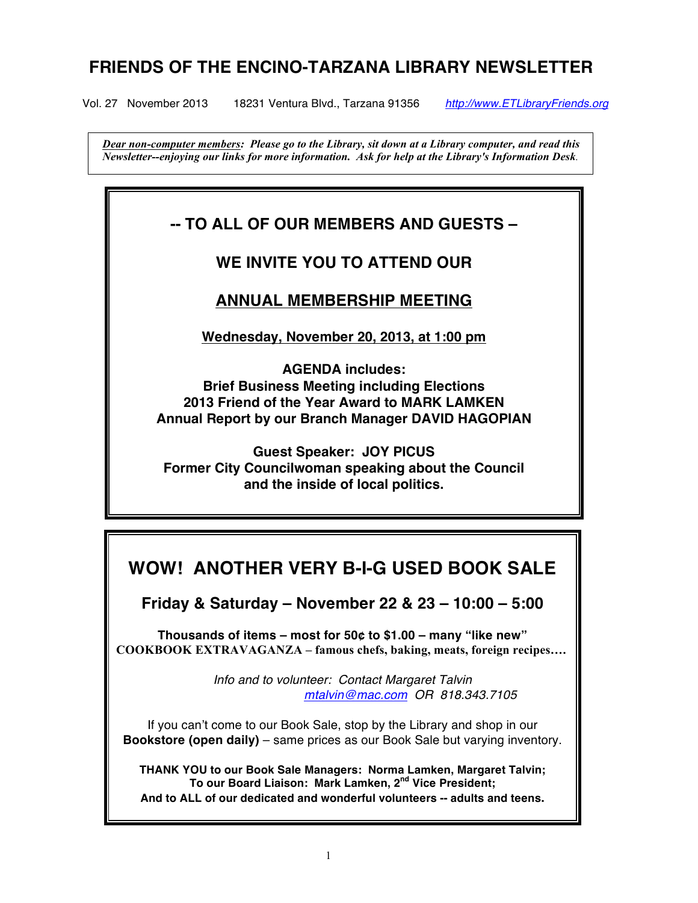# **FRIENDS OF THE ENCINO-TARZANA LIBRARY NEWSLETTER**

Vol. 27 November 2013 18231 Ventura Blvd., Tarzana 91356 *http://www.ETLibraryFriends.org*

 *Dear non-computer members: Please go to the Library, sit down at a Library computer, and read this Newsletter--enjoying our links for more information. Ask for help at the Library's Information Desk.*

# **-- TO ALL OF OUR MEMBERS AND GUESTS –**

# **WE INVITE YOU TO ATTEND OUR**

# **ANNUAL MEMBERSHIP MEETING**

**Wednesday, November 20, 2013, at 1:00 pm**

**AGENDA includes: Brief Business Meeting including Elections 2013 Friend of the Year Award to MARK LAMKEN Annual Report by our Branch Manager DAVID HAGOPIAN**

**Guest Speaker: JOY PICUS Former City Councilwoman speaking about the Council and the inside of local politics.**

# **WOW! ANOTHER VERY B-I-G USED BOOK SALE**

**Friday & Saturday – November 22 & 23 – 10:00 – 5:00** 

**Thousands of items – most for 50¢ to \$1.00 – many "like new" COOKBOOK EXTRAVAGANZA – famous chefs, baking, meats, foreign recipes….** 

> *Info and to volunteer: Contact Margaret Talvin mtalvin@mac.com OR 818.343.7105*

If you can't come to our Book Sale, stop by the Library and shop in our **Bookstore (open daily)** – same prices as our Book Sale but varying inventory.

**THANK YOU to our Book Sale Managers: Norma Lamken, Margaret Talvin; To our Board Liaison: Mark Lamken, 2nd Vice President; And to ALL of our dedicated and wonderful volunteers -- adults and teens.**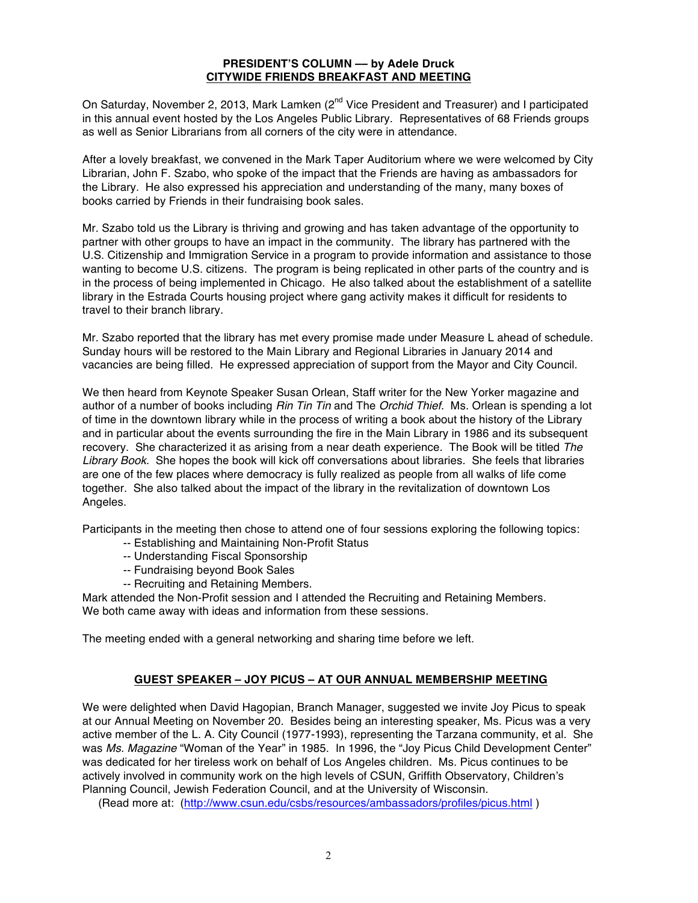### **PRESIDENT'S COLUMN –– by Adele Druck CITYWIDE FRIENDS BREAKFAST AND MEETING**

On Saturday, November 2, 2013, Mark Lamken (2<sup>nd</sup> Vice President and Treasurer) and I participated in this annual event hosted by the Los Angeles Public Library. Representatives of 68 Friends groups as well as Senior Librarians from all corners of the city were in attendance.

After a lovely breakfast, we convened in the Mark Taper Auditorium where we were welcomed by City Librarian, John F. Szabo, who spoke of the impact that the Friends are having as ambassadors for the Library. He also expressed his appreciation and understanding of the many, many boxes of books carried by Friends in their fundraising book sales.

Mr. Szabo told us the Library is thriving and growing and has taken advantage of the opportunity to partner with other groups to have an impact in the community. The library has partnered with the U.S. Citizenship and Immigration Service in a program to provide information and assistance to those wanting to become U.S. citizens. The program is being replicated in other parts of the country and is in the process of being implemented in Chicago. He also talked about the establishment of a satellite library in the Estrada Courts housing project where gang activity makes it difficult for residents to travel to their branch library.

Mr. Szabo reported that the library has met every promise made under Measure L ahead of schedule. Sunday hours will be restored to the Main Library and Regional Libraries in January 2014 and vacancies are being filled. He expressed appreciation of support from the Mayor and City Council.

We then heard from Keynote Speaker Susan Orlean, Staff writer for the New Yorker magazine and author of a number of books including *Rin Tin Tin* and The *Orchid Thief.* Ms. Orlean is spending a lot of time in the downtown library while in the process of writing a book about the history of the Library and in particular about the events surrounding the fire in the Main Library in 1986 and its subsequent recovery. She characterized it as arising from a near death experience. The Book will be titled *The Library Book*. She hopes the book will kick off conversations about libraries. She feels that libraries are one of the few places where democracy is fully realized as people from all walks of life come together. She also talked about the impact of the library in the revitalization of downtown Los Angeles.

Participants in the meeting then chose to attend one of four sessions exploring the following topics:

- -- Establishing and Maintaining Non-Profit Status
- -- Understanding Fiscal Sponsorship
- -- Fundraising beyond Book Sales
- -- Recruiting and Retaining Members.

Mark attended the Non-Profit session and I attended the Recruiting and Retaining Members. We both came away with ideas and information from these sessions.

The meeting ended with a general networking and sharing time before we left.

# **GUEST SPEAKER – JOY PICUS – AT OUR ANNUAL MEMBERSHIP MEETING**

We were delighted when David Hagopian, Branch Manager, suggested we invite Joy Picus to speak at our Annual Meeting on November 20. Besides being an interesting speaker, Ms. Picus was a very active member of the L. A. City Council (1977-1993), representing the Tarzana community, et al. She was *Ms. Magazine* "Woman of the Year" in 1985. In 1996, the "Joy Picus Child Development Center" was dedicated for her tireless work on behalf of Los Angeles children. Ms. Picus continues to be actively involved in community work on the high levels of CSUN, Griffith Observatory, Children's Planning Council, Jewish Federation Council, and at the University of Wisconsin.

(Read more at: (http://www.csun.edu/csbs/resources/ambassadors/profiles/picus.html )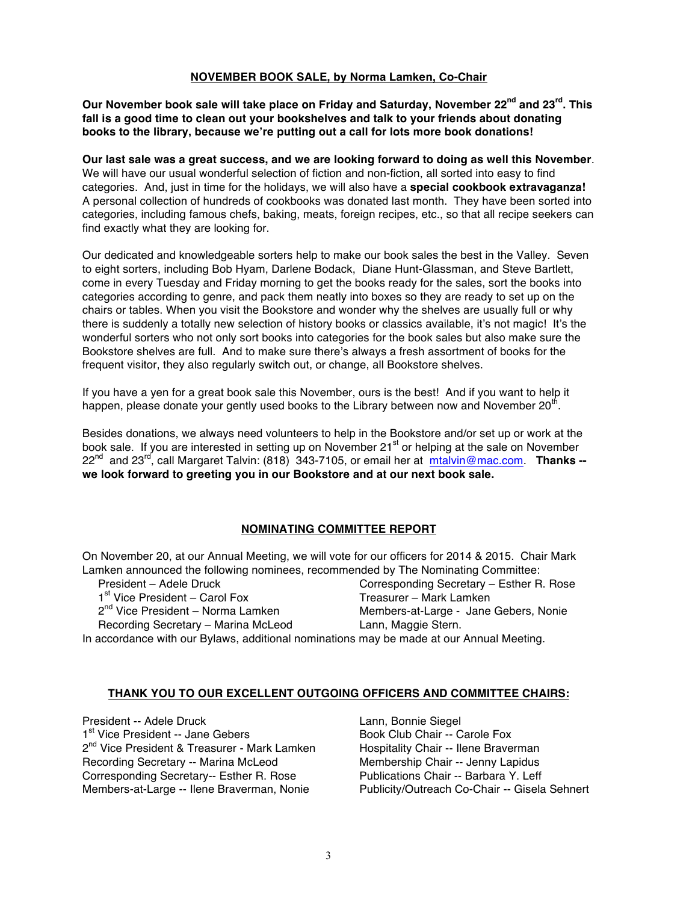### **NOVEMBER BOOK SALE, by Norma Lamken, Co-Chair**

**Our November book sale will take place on Friday and Saturday, November 22nd and 23rd. This fall is a good time to clean out your bookshelves and talk to your friends about donating books to the library, because we're putting out a call for lots more book donations!** 

**Our last sale was a great success, and we are looking forward to doing as well this November**. We will have our usual wonderful selection of fiction and non-fiction, all sorted into easy to find categories. And, just in time for the holidays, we will also have a **special cookbook extravaganza!**  A personal collection of hundreds of cookbooks was donated last month. They have been sorted into categories, including famous chefs, baking, meats, foreign recipes, etc., so that all recipe seekers can find exactly what they are looking for.

Our dedicated and knowledgeable sorters help to make our book sales the best in the Valley. Seven to eight sorters, including Bob Hyam, Darlene Bodack, Diane Hunt-Glassman, and Steve Bartlett, come in every Tuesday and Friday morning to get the books ready for the sales, sort the books into categories according to genre, and pack them neatly into boxes so they are ready to set up on the chairs or tables. When you visit the Bookstore and wonder why the shelves are usually full or why there is suddenly a totally new selection of history books or classics available, it's not magic! It's the wonderful sorters who not only sort books into categories for the book sales but also make sure the Bookstore shelves are full. And to make sure there's always a fresh assortment of books for the frequent visitor, they also regularly switch out, or change, all Bookstore shelves.

If you have a yen for a great book sale this November, ours is the best! And if you want to help it happen, please donate your gently used books to the Library between now and November 20<sup>th</sup>.

Besides donations, we always need volunteers to help in the Bookstore and/or set up or work at the book sale. If you are interested in setting up on November 21<sup>st</sup> or helping at the sale on November 22nd and 23rd, call Margaret Talvin: (818) 343-7105, or email her at mtalvin@mac.com. **Thanks - we look forward to greeting you in our Bookstore and at our next book sale.** 

# **NOMINATING COMMITTEE REPORT**

On November 20, at our Annual Meeting, we will vote for our officers for 2014 & 2015. Chair Mark Lamken announced the following nominees, recommended by The Nominating Committee:

| Lannon annoanood tho following nominood, roodininonaod by Tho Hominating Committee.      |                                            |                                          |
|------------------------------------------------------------------------------------------|--------------------------------------------|------------------------------------------|
|                                                                                          | President - Adele Druck                    | Corresponding Secretary - Esther R. Rose |
|                                                                                          | 1 <sup>st</sup> Vice President – Carol Fox | Treasurer - Mark Lamken                  |
|                                                                                          | $2^{nd}$ Vice President – Norma Lamken     | Members-at-Large - Jane Gebers, Nonie    |
|                                                                                          | Recording Secretary - Marina McLeod        | Lann, Maggie Stern.                      |
| In accordance with our Bylaws, additional nominations may be made at our Annual Meeting. |                                            |                                          |
|                                                                                          |                                            |                                          |

#### **THANK YOU TO OUR EXCELLENT OUTGOING OFFICERS AND COMMITTEE CHAIRS:**

President -- Adele Druck 1st Vice President -- Jane Gebers 2<sup>nd</sup> Vice President & Treasurer - Mark Lamken Recording Secretary -- Marina McLeod Corresponding Secretary-- Esther R. Rose Members-at-Large -- Ilene Braverman, Nonie

Lann, Bonnie Siegel Book Club Chair -- Carole Fox Hospitality Chair -- Ilene Braverman Membership Chair -- Jenny Lapidus Publications Chair -- Barbara Y. Leff Publicity/Outreach Co-Chair -- Gisela Sehnert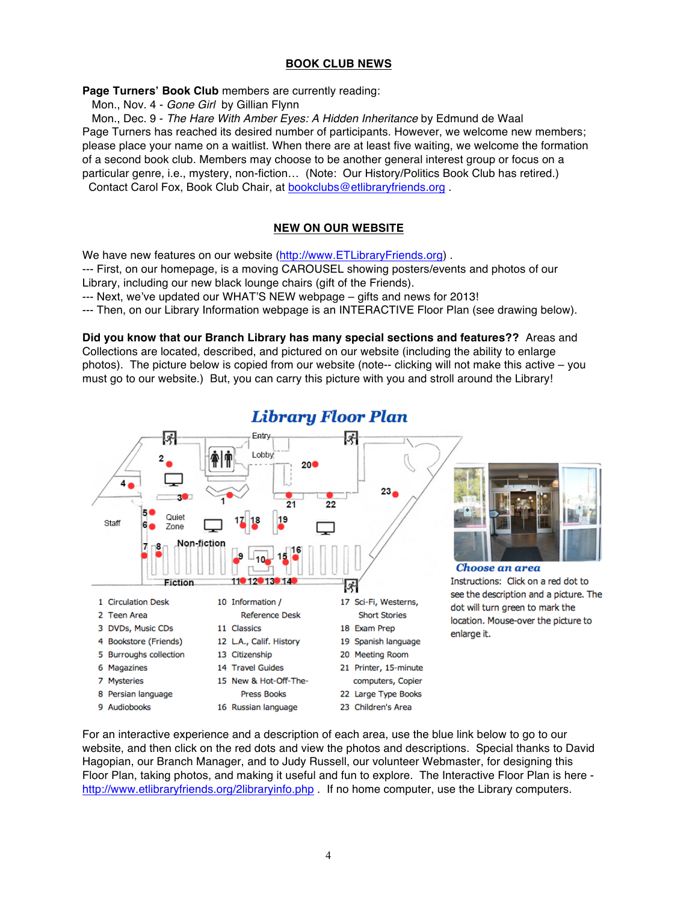# **BOOK CLUB NEWS**

Page Turners' Book Club members are currently reading:

Mon., Nov. 4 - *Gone Girl* by Gillian Flynn

 Mon., Dec. 9 - *The Hare With Amber Eyes: A Hidden Inheritance* by Edmund de Waal Page Turners has reached its desired number of participants. However, we welcome new members; please place your name on a waitlist. When there are at least five waiting, we welcome the formation of a second book club. Members may choose to be another general interest group or focus on a particular genre, i.e., mystery, non-fiction… (Note: Our History/Politics Book Club has retired.) Contact Carol Fox, Book Club Chair, at bookclubs@etlibraryfriends.org .

# **NEW ON OUR WEBSITE**

We have new features on our website (http://www.ETLibraryFriends.org) .

--- First, on our homepage, is a moving CAROUSEL showing posters/events and photos of our Library, including our new black lounge chairs (gift of the Friends).

--- Next, we've updated our WHAT'S NEW webpage – gifts and news for 2013!

--- Then, on our Library Information webpage is an INTERACTIVE Floor Plan (see drawing below).

**Did you know that our Branch Library has many special sections and features??** Areas and Collections are located, described, and pictured on our website (including the ability to enlarge photos). The picture below is copied from our website (note-- clicking will not make this active – you must go to our website.) But, you can carry this picture with you and stroll around the Library!



# Library Floor Plan

For an interactive experience and a description of each area, use the blue link below to go to our website, and then click on the red dots and view the photos and descriptions. Special thanks to David Hagopian, our Branch Manager, and to Judy Russell, our volunteer Webmaster, for designing this Floor Plan, taking photos, and making it useful and fun to explore. The Interactive Floor Plan is here http://www.etlibraryfriends.org/2libraryinfo.php . If no home computer, use the Library computers.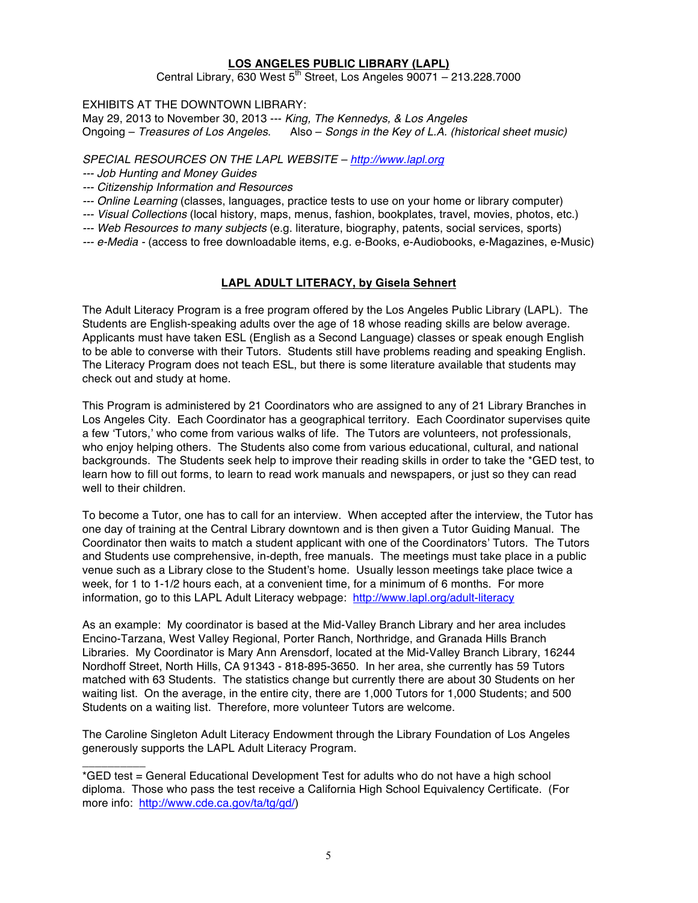### **LOS ANGELES PUBLIC LIBRARY (LAPL)**

Central Library, 630 West  $5<sup>th</sup>$  Street, Los Angeles 90071 – 213.228.7000

EXHIBITS AT THE DOWNTOWN LIBRARY:

May 29, 2013 to November 30, 2013 --- *King, The Kennedys, & Los Angeles* Ongoing – *Treasures of Los Angeles*. Also – *Songs in the Key of L.A. (historical sheet music)*

*SPECIAL RESOURCES ON THE LAPL WEBSITE – http://www.lapl.org*

*--- Job Hunting and Money Guides* 

\_\_\_\_\_\_\_\_\_\_

- *--- Citizenship Information and Resources*
- *--- Online Learning* (classes, languages, practice tests to use on your home or library computer)
- *--- Visual Collections* (local history, maps, menus, fashion, bookplates, travel, movies, photos, etc.)
- *--- Web Resources to many subjects* (e.g. literature, biography, patents, social services, sports)
- *--- e-Media -* (access to free downloadable items, e.g. e-Books, e-Audiobooks, e-Magazines, e-Music)

# **LAPL ADULT LITERACY, by Gisela Sehnert**

The Adult Literacy Program is a free program offered by the Los Angeles Public Library (LAPL). The Students are English-speaking adults over the age of 18 whose reading skills are below average. Applicants must have taken ESL (English as a Second Language) classes or speak enough English to be able to converse with their Tutors. Students still have problems reading and speaking English. The Literacy Program does not teach ESL, but there is some literature available that students may check out and study at home.

This Program is administered by 21 Coordinators who are assigned to any of 21 Library Branches in Los Angeles City. Each Coordinator has a geographical territory. Each Coordinator supervises quite a few 'Tutors,' who come from various walks of life. The Tutors are volunteers, not professionals, who enjoy helping others. The Students also come from various educational, cultural, and national backgrounds. The Students seek help to improve their reading skills in order to take the \*GED test, to learn how to fill out forms, to learn to read work manuals and newspapers, or just so they can read well to their children.

To become a Tutor, one has to call for an interview. When accepted after the interview, the Tutor has one day of training at the Central Library downtown and is then given a Tutor Guiding Manual. The Coordinator then waits to match a student applicant with one of the Coordinators' Tutors. The Tutors and Students use comprehensive, in-depth, free manuals. The meetings must take place in a public venue such as a Library close to the Student's home. Usually lesson meetings take place twice a week, for 1 to 1-1/2 hours each, at a convenient time, for a minimum of 6 months. For more information, go to this LAPL Adult Literacy webpage: http://www.lapl.org/adult-literacy

As an example: My coordinator is based at the Mid-Valley Branch Library and her area includes Encino-Tarzana, West Valley Regional, Porter Ranch, Northridge, and Granada Hills Branch Libraries. My Coordinator is Mary Ann Arensdorf, located at the Mid-Valley Branch Library, 16244 Nordhoff Street, North Hills, CA 91343 - 818-895-3650. In her area, she currently has 59 Tutors matched with 63 Students. The statistics change but currently there are about 30 Students on her waiting list. On the average, in the entire city, there are 1,000 Tutors for 1,000 Students; and 500 Students on a waiting list. Therefore, more volunteer Tutors are welcome.

The Caroline Singleton Adult Literacy Endowment through the Library Foundation of Los Angeles generously supports the LAPL Adult Literacy Program.

<sup>\*</sup>GED test = General Educational Development Test for adults who do not have a high school diploma. Those who pass the test receive a California High School Equivalency Certificate. (For more info: http://www.cde.ca.gov/ta/tg/gd/)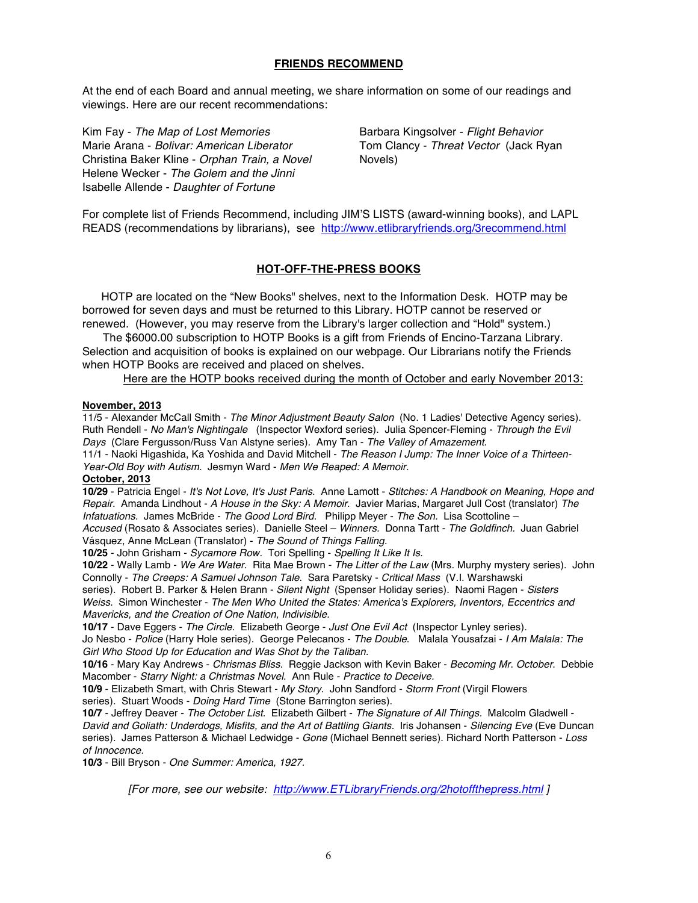#### **FRIENDS RECOMMEND**

At the end of each Board and annual meeting, we share information on some of our readings and viewings. Here are our recent recommendations:

Kim Fay - *The Map of Lost Memories* Marie Arana - *Bolivar: American Liberator* Christina Baker Kline - *Orphan Train, a Novel*  Helene Wecker - *The Golem and the Jinni* Isabelle Allende - *Daughter of Fortune*

Barbara Kingsolver - *Flight Behavior* Tom Clancy - *Threat Vector* (Jack Ryan Novels)

For complete list of Friends Recommend, including JIM'S LISTS (award-winning books), and LAPL READS (recommendations by librarians), see http://www.etlibraryfriends.org/3recommend.html

### **HOT-OFF-THE-PRESS BOOKS**

 HOTP are located on the "New Books" shelves, next to the Information Desk. HOTP may be borrowed for seven days and must be returned to this Library. HOTP cannot be reserved or renewed. (However, you may reserve from the Library's larger collection and "Hold" system.)

The \$6000.00 subscription to HOTP Books is a gift from Friends of Encino-Tarzana Library. Selection and acquisition of books is explained on our webpage. Our Librarians notify the Friends when HOTP Books are received and placed on shelves.

Here are the HOTP books received during the month of October and early November 2013:

#### **November, 2013**

11/5 - Alexander McCall Smith - *The Minor Adjustment Beauty Salon* (No. 1 Ladies' Detective Agency series). Ruth Rendell - *No Man's Nightingale* (Inspector Wexford series). Julia Spencer-Fleming - *Through the Evil Days* (Clare Fergusson/Russ Van Alstyne series). Amy Tan - *The Valley of Amazement.*

11/1 - Naoki Higashida, Ka Yoshida and David Mitchell - *The Reason I Jump: The Inner Voice of a Thirteen-Year-Old Boy with Autism*. Jesmyn Ward - *Men We Reaped: A Memoir.*

#### **October, 2013**

**10/29** - Patricia Engel - *It's Not Love, It's Just Paris*. Anne Lamott - *Stitches: A Handbook on Meaning, Hope and Repair*. Amanda Lindhout - *A House in the Sky: A Memoir*. Javier Marias, Margaret Jull Cost (translator) *The Infatuations.* James McBride - *The Good Lord Bird.* Philipp Meyer - *The Son.* Lisa Scottoline –

*Accused* (Rosato & Associates series). Danielle Steel – *Winners.* Donna Tartt - *The Goldfinch.* Juan Gabriel Vásquez, Anne McLean (Translator) - *The Sound of Things Falling.* 

**10/25** - John Grisham - *Sycamore Row.* Tori Spelling - *Spelling It Like It Is.*

**10/22** - Wally Lamb - *We Are Water*. Rita Mae Brown - *The Litter of the Law* (Mrs. Murphy mystery series). John Connolly - *The Creeps: A Samuel Johnson Tale*. Sara Paretsky - *Critical Mass* (V.I. Warshawski

series). Robert B. Parker & Helen Brann - *Silent Night* (Spenser Holiday series). Naomi Ragen - *Sisters Weiss.* Simon Winchester - *The Men Who United the States: America's Explorers, Inventors, Eccentrics and Mavericks, and the Creation of One Nation, Indivisible*.

**10/17** - Dave Eggers - *The Circle*. Elizabeth George - *Just One Evil Act* (Inspector Lynley series).

Jo Nesbo - *Police* (Harry Hole series). George Pelecanos - *The Double*. Malala Yousafzai - *I Am Malala: The Girl Who Stood Up for Education and Was Shot by the Taliban.*

**10/16** - Mary Kay Andrews - *Chrismas Bliss*. Reggie Jackson with Kevin Baker - *Becoming Mr. October*. Debbie Macomber - *Starry Night: a Christmas Novel*. Ann Rule - *Practice to Deceive.* 

**10/9** - Elizabeth Smart, with Chris Stewart - *My Story*. John Sandford - *Storm Front* (Virgil Flowers series). Stuart Woods - *Doing Hard Time* (Stone Barrington series).

**10/7** - Jeffrey Deaver - *The October List*. Elizabeth Gilbert - *The Signature of All Things.* Malcolm Gladwell - *David and Goliath: Underdogs, Misfits, and the Art of Battling Giants.* Iris Johansen - *Silencing Eve* (Eve Duncan series). James Patterson & Michael Ledwidge - *Gone* (Michael Bennett series). Richard North Patterson - *Loss of Innocence.*

**10/3** - Bill Bryson - *One Summer: America, 1927.*

*[For more, see our website: http://www.ETLibraryFriends.org/2hotoffthepress.html ]*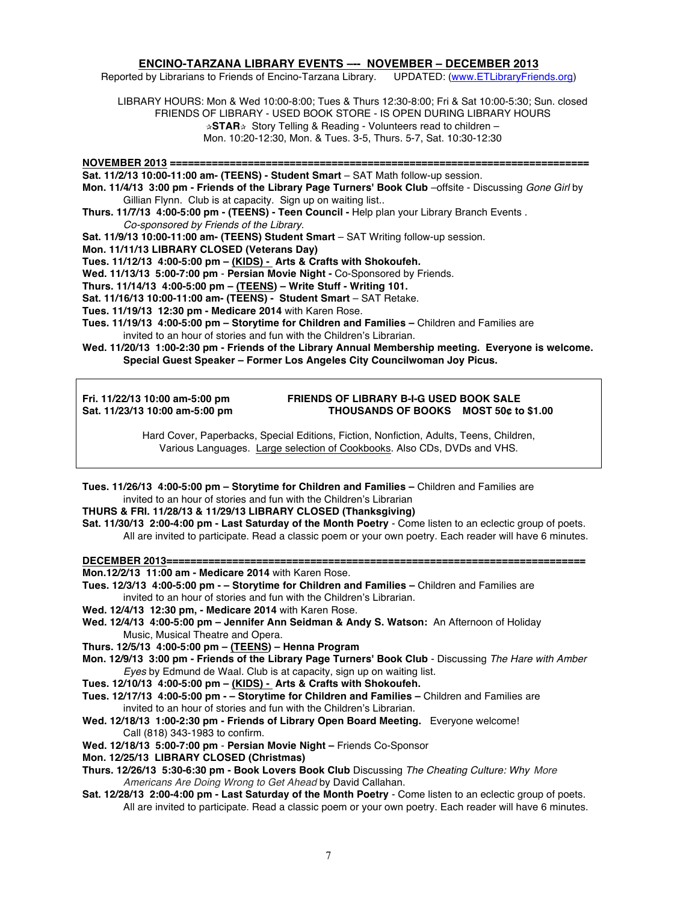#### **ENCINO-TARZANA LIBRARY EVENTS –-- NOVEMBER – DECEMBER 2013**

Reported by Librarians to Friends of Encino-Tarzana Library. UPDATED: (www.ETLibraryFriends.org)

LIBRARY HOURS: Mon & Wed 10:00-8:00; Tues & Thurs 12:30-8:00; Fri & Sat 10:00-5:30; Sun. closed FRIENDS OF LIBRARY - USED BOOK STORE - IS OPEN DURING LIBRARY HOURS **✰STAR✰** Story Telling & Reading - Volunteers read to children – Mon. 10:20-12:30, Mon. & Tues. 3-5, Thurs. 5-7, Sat. 10:30-12:30

**NOVEMBER 2013 ====================================================================== Sat. 11/2/13 10:00-11:00 am- (TEENS) - Student Smart** – SAT Math follow-up session. **Mon. 11/4/13 3:00 pm - Friends of the Library Page Turners' Book Club** –offsite - Discussing *Gone Girl* by Gillian Flynn. Club is at capacity. Sign up on waiting list.. **Thurs. 11/7/13 4:00-5:00 pm - (TEENS) - Teen Council -** Help plan your Library Branch Events . *Co-sponsored by Friends of the Library.* **Sat. 11/9/13 10:00-11:00 am- (TEENS) Student Smart** – SAT Writing follow-up session. **Mon. 11/11/13 LIBRARY CLOSED (Veterans Day) Tues. 11/12/13 4:00-5:00 pm – (KIDS) - Arts & Crafts with Shokoufeh. Wed. 11/13/13 5:00-7:00 pm** - **Persian Movie Night -** Co-Sponsored by Friends. **Thurs. 11/14/13 4:00-5:00 pm – (TEENS) – Write Stuff - Writing 101. Sat. 11/16/13 10:00-11:00 am- (TEENS) - Student Smart** – SAT Retake. **Tues. 11/19/13 12:30 pm - Medicare 2014** with Karen Rose. **Tues. 11/19/13 4:00-5:00 pm – Storytime for Children and Families –** Children and Families are

invited to an hour of stories and fun with the Children's Librarian.

**Wed. 11/20/13 1:00-2:30 pm - Friends of the Library Annual Membership meeting. Everyone is welcome. Special Guest Speaker – Former Los Angeles City Councilwoman Joy Picus.**

**Fri. 11/22/13 10:00 am-5:00 pm FRIENDS OF LIBRARY B-I-G USED BOOK SALE** THOUSANDS OF BOOKS MOST 50¢ to \$1.00

> Hard Cover, Paperbacks, Special Editions, Fiction, Nonfiction, Adults, Teens, Children, Various Languages. Large selection of Cookbooks. Also CDs, DVDs and VHS.

**Tues. 11/26/13 4:00-5:00 pm – Storytime for Children and Families –** Children and Families are invited to an hour of stories and fun with the Children's Librarian

#### **THURS & FRI. 11/28/13 & 11/29/13 LIBRARY CLOSED (Thanksgiving)**

**Sat. 11/30/13 2:00-4:00 pm - Last Saturday of the Month Poetry** - Come listen to an eclectic group of poets. All are invited to participate. Read a classic poem or your own poetry. Each reader will have 6 minutes.

**DECEMBER 2013====================================================================== Mon.12/2/13 11:00 am - Medicare 2014** with Karen Rose. **Tues. 12/3/13 4:00-5:00 pm - – Storytime for Children and Families –** Children and Families are

- invited to an hour of stories and fun with the Children's Librarian.
- **Wed. 12/4/13 12:30 pm, - Medicare 2014** with Karen Rose.

**Wed. 12/4/13 4:00-5:00 pm – Jennifer Ann Seidman & Andy S. Watson:** An Afternoon of Holiday Music, Musical Theatre and Opera.

**Thurs. 12/5/13 4:00-5:00 pm – (TEENS) – Henna Program**

**Mon. 12/9/13 3:00 pm - Friends of the Library Page Turners' Book Club** - Discussing *The Hare with Amber Eyes* by Edmund de Waal*.* Club is at capacity, sign up on waiting list.

**Tues. 12/10/13 4:00-5:00 pm – (KIDS) - Arts & Crafts with Shokoufeh.**

**Tues. 12/17/13 4:00-5:00 pm - – Storytime for Children and Families –** Children and Families are invited to an hour of stories and fun with the Children's Librarian.

**Wed. 12/18/13 1:00-2:30 pm - Friends of Library Open Board Meeting.** Everyone welcome! Call (818) 343-1983 to confirm.

**Wed. 12/18/13 5:00-7:00 pm** - **Persian Movie Night –** Friends Co-Sponsor

**Mon. 12/25/13 LIBRARY CLOSED (Christmas)**

**Thurs. 12/26/13 5:30-6:30 pm - Book Lovers Book Club** Discussing *The Cheating Culture: Why More Americans Are Doing Wrong to Get Ahead* by David Callahan.

**Sat. 12/28/13 2:00-4:00 pm - Last Saturday of the Month Poetry** - Come listen to an eclectic group of poets. All are invited to participate. Read a classic poem or your own poetry. Each reader will have 6 minutes.